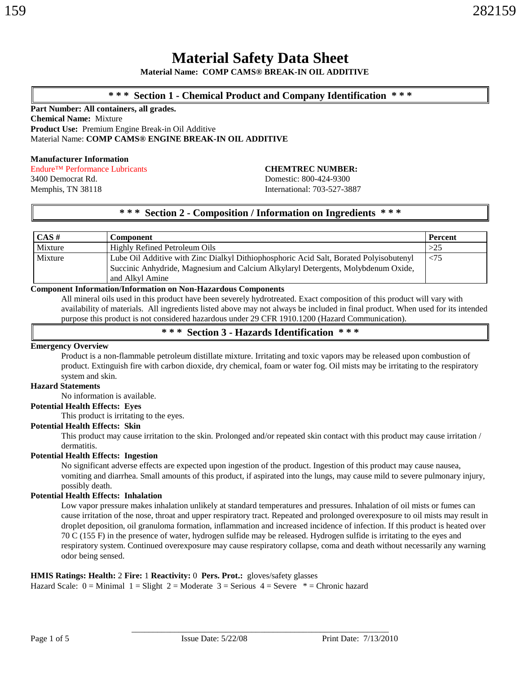### **\* \* \* Section 1 - Chemical Product and Company Identification \* \* \***

**Part Number: All containers, all grades. Chemical Name:** Mixture **Product Use:** Premium Engine Break-in Oil Additive Material Name: **COMP CAMS® ENGINE BREAK-IN OIL ADDITIVE**

#### **Manufacturer Information**

Endure™ Performance Lubricants **CHEMTREC NUMBER:**

3400 Democrat Rd. Domestic: 800-424-9300 Memphis, TN 38118 International: 703-527-3887

### **\* \* \* Section 2 - Composition / Information on Ingredients \* \* \***

| CAS#    | <b>Component</b>                                                                       | <b>Percent</b> |
|---------|----------------------------------------------------------------------------------------|----------------|
| Mixture | Highly Refined Petroleum Oils                                                          | >25            |
| Mixture | Lube Oil Additive with Zinc Dialkyl Dithiophosphoric Acid Salt, Borated Polyisobutenyl | $\leq$ 75      |
|         | Succinic Anhydride, Magnesium and Calcium Alkylaryl Detergents, Molybdenum Oxide,      |                |
|         | and Alkyl Amine                                                                        |                |

### **Component Information/Information on Non-Hazardous Components**

All mineral oils used in this product have been severely hydrotreated. Exact composition of this product will vary with availability of materials. All ingredients listed above may not always be included in final product. When used for its intended purpose this product is not considered hazardous under 29 CFR 1910.1200 (Hazard Communication).

### **\* \* \* Section 3 - Hazards Identification \* \* \***

#### **Emergency Overview**

Product is a non-flammable petroleum distillate mixture. Irritating and toxic vapors may be released upon combustion of product. Extinguish fire with carbon dioxide, dry chemical, foam or water fog. Oil mists may be irritating to the respiratory system and skin.

### **Hazard Statements**

No information is available.

### **Potential Health Effects: Eyes**

This product is irritating to the eyes.

#### **Potential Health Effects: Skin**

This product may cause irritation to the skin. Prolonged and/or repeated skin contact with this product may cause irritation / dermatitis.

#### **Potential Health Effects: Ingestion**

No significant adverse effects are expected upon ingestion of the product. Ingestion of this product may cause nausea, vomiting and diarrhea. Small amounts of this product, if aspirated into the lungs, may cause mild to severe pulmonary injury, possibly death.

#### **Potential Health Effects: Inhalation**

Low vapor pressure makes inhalation unlikely at standard temperatures and pressures. Inhalation of oil mists or fumes can cause irritation of the nose, throat and upper respiratory tract. Repeated and prolonged overexposure to oil mists may result in droplet deposition, oil granuloma formation, inflammation and increased incidence of infection. If this product is heated over 70 C (155 F) in the presence of water, hydrogen sulfide may be released. Hydrogen sulfide is irritating to the eyes and respiratory system. Continued overexposure may cause respiratory collapse, coma and death without necessarily any warning odor being sensed.

\_\_\_\_\_\_\_\_\_\_\_\_\_\_\_\_\_\_\_\_\_\_\_\_\_\_\_\_\_\_\_\_\_\_\_\_\_\_\_\_\_\_\_\_\_\_\_\_\_\_\_\_\_\_\_\_\_\_\_\_

### **HMIS Ratings: Health:** 2 **Fire:** 1 **Reactivity:** 0 **Pers. Prot.:** gloves/safety glasses

Hazard Scale:  $0 =$ Minimal  $1 =$ Slight  $2 =$ Moderate  $3 =$ Serious  $4 =$ Severe  $* =$ Chronic hazard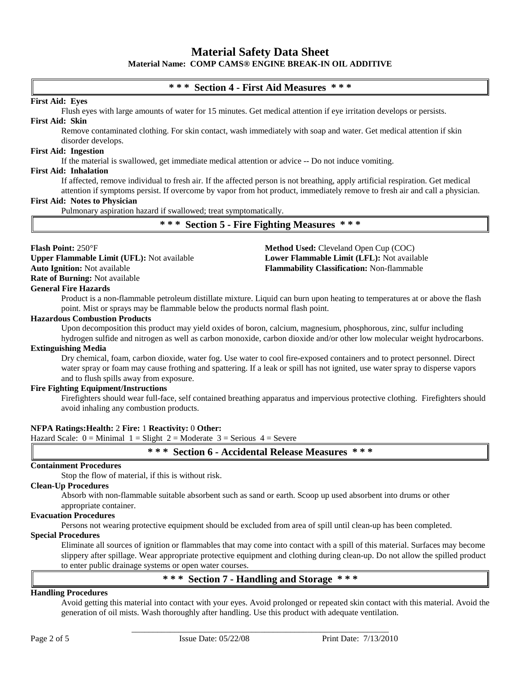### **\* \* \* Section 4 - First Aid Measures \* \* \***

#### **First Aid: Eyes**

Flush eyes with large amounts of water for 15 minutes. Get medical attention if eye irritation develops or persists. **First Aid: Skin**

Remove contaminated clothing. For skin contact, wash immediately with soap and water. Get medical attention if skin disorder develops.

#### **First Aid: Ingestion**

If the material is swallowed, get immediate medical attention or advice -- Do not induce vomiting.

#### **First Aid: Inhalation**

If affected, remove individual to fresh air. If the affected person is not breathing, apply artificial respiration. Get medical attention if symptoms persist. If overcome by vapor from hot product, immediately remove to fresh air and call a physician.

#### **First Aid: Notes to Physician**

Pulmonary aspiration hazard if swallowed; treat symptomatically.

**\* \* \* Section 5 - Fire Fighting Measures \* \* \***

#### **Flash Point:** 250°F **Method Used:** Cleveland Open Cup (COC)

**Upper Flammable Limit (UFL):** Not available **Lower Flammable Limit (LFL):** Not available **Auto Ignition:** Not available **Flammability Classification:** Non-flammable **Rate of Burning:** Not available

#### **General Fire Hazards**

Product is a non-flammable petroleum distillate mixture. Liquid can burn upon heating to temperatures at or above the flash point. Mist or sprays may be flammable below the products normal flash point.

#### **Hazardous Combustion Products**

Upon decomposition this product may yield oxides of boron, calcium, magnesium, phosphorous, zinc, sulfur including

hydrogen sulfide and nitrogen as well as carbon monoxide, carbon dioxide and/or other low molecular weight hydrocarbons. **Extinguishing Media**

#### Dry chemical, foam, carbon dioxide, water fog. Use water to cool fire-exposed containers and to protect personnel. Direct water spray or foam may cause frothing and spattering. If a leak or spill has not ignited, use water spray to disperse vapors and to flush spills away from exposure.

#### **Fire Fighting Equipment/Instructions**

Firefighters should wear full-face, self contained breathing apparatus and impervious protective clothing. Firefighters should avoid inhaling any combustion products.

#### **NFPA Ratings:Health:** 2 **Fire:** 1 **Reactivity:** 0 **Other:**

Hazard Scale:  $0 =$  Minimal  $1 =$  Slight  $2 =$  Moderate  $3 =$  Serious  $4 =$  Severe

**\* \* \* Section 6 - Accidental Release Measures \* \* \***

#### **Containment Procedures**

Stop the flow of material, if this is without risk.

#### **Clean-Up Procedures**

Absorb with non-flammable suitable absorbent such as sand or earth. Scoop up used absorbent into drums or other appropriate container.

### **Evacuation Procedures**

Persons not wearing protective equipment should be excluded from area of spill until clean-up has been completed.

#### **Special Procedures**

Eliminate all sources of ignition or flammables that may come into contact with a spill of this material. Surfaces may become slippery after spillage. Wear appropriate protective equipment and clothing during clean-up. Do not allow the spilled product to enter public drainage systems or open water courses.

### **\* \* \* Section 7 - Handling and Storage \* \* \***

\_\_\_\_\_\_\_\_\_\_\_\_\_\_\_\_\_\_\_\_\_\_\_\_\_\_\_\_\_\_\_\_\_\_\_\_\_\_\_\_\_\_\_\_\_\_\_\_\_\_\_\_\_\_\_\_\_\_\_\_

#### **Handling Procedures**

Avoid getting this material into contact with your eyes. Avoid prolonged or repeated skin contact with this material. Avoid the generation of oil mists. Wash thoroughly after handling. Use this product with adequate ventilation.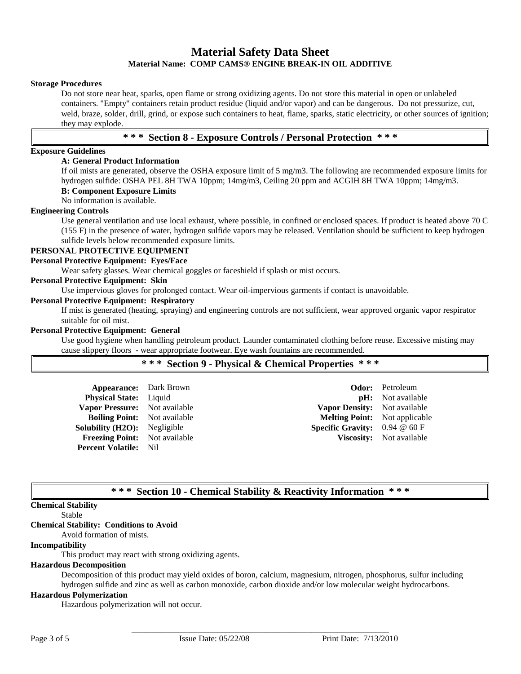#### **Storage Procedures**

Do not store near heat, sparks, open flame or strong oxidizing agents. Do not store this material in open or unlabeled containers. "Empty" containers retain product residue (liquid and/or vapor) and can be dangerous. Do not pressurize, cut, weld, braze, solder, drill, grind, or expose such containers to heat, flame, sparks, static electricity, or other sources of ignition; they may explode.

### **\* \* \* Section 8 - Exposure Controls / Personal Protection \* \* \***

### **Exposure Guidelines**

#### **A: General Product Information**

If oil mists are generated, observe the OSHA exposure limit of 5 mg/m3. The following are recommended exposure limits for hydrogen sulfide: OSHA PEL 8H TWA 10ppm; 14mg/m3, Ceiling 20 ppm and ACGIH 8H TWA 10ppm; 14mg/m3.

#### **B: Component Exposure Limits**

No information is available.

#### **Engineering Controls**

Use general ventilation and use local exhaust, where possible, in confined or enclosed spaces. If product is heated above 70 C (155 F) in the presence of water, hydrogen sulfide vapors may be released. Ventilation should be sufficient to keep hydrogen sulfide levels below recommended exposure limits.

### **PERSONAL PROTECTIVE EQUIPMENT**

#### **Personal Protective Equipment: Eyes/Face**

Wear safety glasses. Wear chemical goggles or faceshield if splash or mist occurs.

#### **Personal Protective Equipment: Skin**

Use impervious gloves for prolonged contact. Wear oil-impervious garments if contact is unavoidable.

#### **Personal Protective Equipment: Respiratory**

If mist is generated (heating, spraying) and engineering controls are not sufficient, wear approved organic vapor respirator suitable for oil mist.

#### **Personal Protective Equipment: General**

Use good hygiene when handling petroleum product. Launder contaminated clothing before reuse. Excessive misting may cause slippery floors - wear appropriate footwear. Eye wash fountains are recommended.

|  |  |  |  |  | *** Section 9 - Physical & Chemical Properties *** |  |  |  |
|--|--|--|--|--|----------------------------------------------------|--|--|--|
|--|--|--|--|--|----------------------------------------------------|--|--|--|

| <b>Appearance:</b> Dark Brown        |                                            | <b>Odor:</b> Petroleum          |
|--------------------------------------|--------------------------------------------|---------------------------------|
| Physical State: Liquid               |                                            | <b>pH:</b> Not available        |
| Vapor Pressure: Not available        | Vapor Density: Not available               |                                 |
| <b>Boiling Point:</b> Not available  | <b>Melting Point:</b> Not applicable       |                                 |
| <b>Solubility (H2O):</b> Negligible  | <b>Specific Gravity:</b> $0.94 \ @ 60 \ F$ |                                 |
| <b>Freezing Point:</b> Not available |                                            | <b>Viscosity:</b> Not available |
| <b>Percent Volatile:</b> Nil         |                                            |                                 |

### **\* \* \* Section 10 - Chemical Stability & Reactivity Information \* \* \***

### **Chemical Stability**

#### Stable

### **Chemical Stability: Conditions to Avoid**

Avoid formation of mists.

### **Incompatibility**

This product may react with strong oxidizing agents.

#### **Hazardous Decomposition**

Decomposition of this product may yield oxides of boron, calcium, magnesium, nitrogen, phosphorus, sulfur including hydrogen sulfide and zinc as well as carbon monoxide, carbon dioxide and/or low molecular weight hydrocarbons.

\_\_\_\_\_\_\_\_\_\_\_\_\_\_\_\_\_\_\_\_\_\_\_\_\_\_\_\_\_\_\_\_\_\_\_\_\_\_\_\_\_\_\_\_\_\_\_\_\_\_\_\_\_\_\_\_\_\_\_\_

### **Hazardous Polymerization**

Hazardous polymerization will not occur.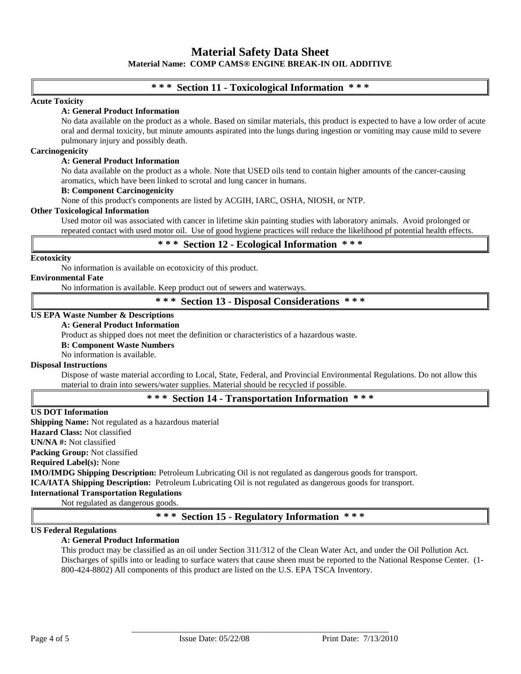### **\* \* \* Section 11 - Toxicological Information \* \* \***

#### **Acute Toxicity**

#### **A: General Product Information**

No data available on the product as a whole. Based on similar materials, this product is expected to have a low order of acute oral and dermal toxicity, but minute amounts aspirated into the lungs during ingestion or vomiting may cause mild to severe pulmonary injury and possibly death.

#### **Carcinogenicity**

#### **A: General Product Information**

No data available on the product as a whole. Note that USED oils tend to contain higher amounts of the cancer-causing aromatics, which have been linked to scrotal and lung cancer in humans.

#### **B: Component Carcinogenicity**

None of this product's components are listed by ACGIH, IARC, OSHA, NIOSH, or NTP.

#### **Other Toxicological Information**

Used motor oil was associated with cancer in lifetime skin painting studies with laboratory animals. Avoid prolonged or repeated contact with used motor oil. Use of good hygiene practices will reduce the likelihood pf potential health effects.

**\* \* \* Section 12 - Ecological Information \* \* \***

#### **Ecotoxicity**

No information is available on ecotoxicity of this product.

**Environmental Fate**

No information is available. Keep product out of sewers and waterways.

**\* \* \* Section 13 - Disposal Considerations \* \* \***

#### **US EPA Waste Number & Descriptions**

#### **A: General Product Information**

Product as shipped does not meet the definition or characteristics of a hazardous waste.

**B: Component Waste Numbers**

No information is available.

#### **Disposal Instructions**

Dispose of waste material according to Local, State, Federal, and Provincial Environmental Regulations. Do not allow this material to drain into sewers/water supplies. Material should be recycled if possible.

### **\* \* \* Section 14 - Transportation Information \* \* \***

#### **US DOT Information**

**Shipping Name:** Not regulated as a hazardous material **Hazard Class:** Not classified **UN/NA #:** Not classified

**Packing Group:** Not classified

**Required Label(s):** None

**IMO/IMDG Shipping Description:** Petroleum Lubricating Oil is not regulated as dangerous goods for transport.

**ICA/IATA Shipping Description:** Petroleum Lubricating Oil is not regulated as dangerous goods for transport.

## **International Transportation Regulations**

Not regulated as dangerous goods.

### **\* \* \* Section 15 - Regulatory Information \* \* \***

#### **US Federal Regulations**

### **A: General Product Information**

This product may be classified as an oil under Section 311/312 of the Clean Water Act, and under the Oil Pollution Act. Discharges of spills into or leading to surface waters that cause sheen must be reported to the National Response Center. (1- 800-424-8802) All components of this product are listed on the U.S. EPA TSCA Inventory.

\_\_\_\_\_\_\_\_\_\_\_\_\_\_\_\_\_\_\_\_\_\_\_\_\_\_\_\_\_\_\_\_\_\_\_\_\_\_\_\_\_\_\_\_\_\_\_\_\_\_\_\_\_\_\_\_\_\_\_\_